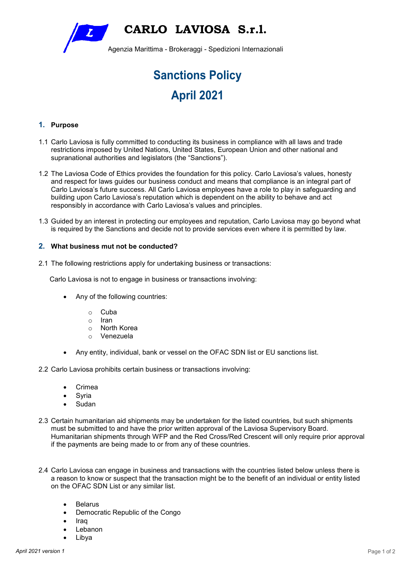**CARLO LAVIOSA S.r.l.**   $\overline{L}$ Agenzia Marittima - Brokeraggi - Spedizioni Internazionali

# **Sanctions Policy April 2021**

## **1. Purpose**

- 1.1 Carlo Laviosa is fully committed to conducting its business in compliance with all laws and trade restrictions imposed by United Nations, United States, European Union and other national and supranational authorities and legislators (the "Sanctions").
- 1.2 The Laviosa Code of Ethics provides the foundation for this policy. Carlo Laviosa's values, honesty and respect for laws guides our business conduct and means that compliance is an integral part of Carlo Laviosa's future success. All Carlo Laviosa employees have a role to play in safeguarding and building upon Carlo Laviosa's reputation which is dependent on the ability to behave and act responsibly in accordance with Carlo Laviosa's values and principles.
- 1.3 Guided by an interest in protecting our employees and reputation, Carlo Laviosa may go beyond what is required by the Sanctions and decide not to provide services even where it is permitted by law.

## **2. What business mut not be conducted?**

2.1 The following restrictions apply for undertaking business or transactions:

Carlo Laviosa is not to engage in business or transactions involving:

- Any of the following countries:
	- o Cuba
	- o Iran
	- o North Korea
	- o Venezuela
- Any entity, individual, bank or vessel on the OFAC SDN list or EU sanctions list.

2.2 Carlo Laviosa prohibits certain business or transactions involving:

- **Crimea**
- **Syria**
- Sudan
- 2.3 Certain humanitarian aid shipments may be undertaken for the listed countries, but such shipments must be submitted to and have the prior written approval of the Laviosa Supervisory Board. Humanitarian shipments through WFP and the Red Cross/Red Crescent will only require prior approval if the payments are being made to or from any of these countries.
- 2.4 Carlo Laviosa can engage in business and transactions with the countries listed below unless there is a reason to know or suspect that the transaction might be to the benefit of an individual or entity listed on the OFAC SDN List or any similar list.
	- **Belarus**
	- Democratic Republic of the Congo
	- Iraq
	- Lebanon
	- Libya